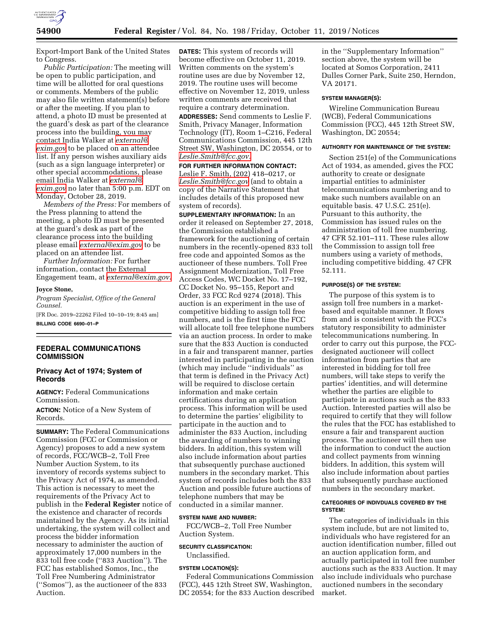

Export-Import Bank of the United States to Congress.

*Public Participation:* The meeting will be open to public participation, and time will be allotted for oral questions or comments. Members of the public may also file written statement(s) before or after the meeting. If you plan to attend, a photo ID must be presented at the guard's desk as part of the clearance process into the building, you may contact India Walker at *[external@](mailto:external@exim.gov) [exim.gov](mailto:external@exim.gov)* to be placed on an attendee list. If any person wishes auxiliary aids (such as a sign language interpreter) or other special accommodations, please email India Walker at *[external@](mailto:external@exim.gov) [exim.gov](mailto:external@exim.gov)* no later than 5:00 p.m. EDT on Monday, October 28, 2019.

*Members of the Press:* For members of the Press planning to attend the meeting, a photo ID must be presented at the guard's desk as part of the clearance process into the building please email *[external@exim.gov](mailto:external@exim.gov)* to be placed on an attendee list.

*Further Information:* For further information, contact the External Engagement team, at *[external@exim.gov](mailto:external@exim.gov)*.

### **Joyce Stone,**

*Program Specialist, Office of the General Counsel.* 

[FR Doc. 2019–22262 Filed 10–10–19; 8:45 am] **BILLING CODE 6690–01–P** 

## **FEDERAL COMMUNICATIONS COMMISSION**

# **Privacy Act of 1974; System of Records**

**AGENCY:** Federal Communications Commission.

**ACTION:** Notice of a New System of Records.

**SUMMARY:** The Federal Communications Commission (FCC or Commission or Agency) proposes to add a new system of records, FCC/WCB–2, Toll Free Number Auction System, to its inventory of records systems subject to the Privacy Act of 1974, as amended. This action is necessary to meet the requirements of the Privacy Act to publish in the **Federal Register** notice of the existence and character of records maintained by the Agency. As its initial undertaking, the system will collect and process the bidder information necessary to administer the auction of approximately 17,000 numbers in the 833 toll free code (''833 Auction''). The FCC has established Somos, Inc., the Toll Free Numbering Administrator (''Somos''), as the auctioneer of the 833 Auction.

**DATES:** This system of records will become effective on October 11, 2019. Written comments on the system's routine uses are due by November 12, 2019. The routine uses will become effective on November 12, 2019, unless written comments are received that require a contrary determination.

**ADDRESSES:** Send comments to Leslie F. Smith, Privacy Manager, Information Technology (IT), Room 1–C216, Federal Communications Commission, 445 12th Street SW, Washington, DC 20554, or to *[Leslie.Smith@fcc.gov.](mailto:Leslie.Smith@fcc.gov)* 

**FOR FURTHER INFORMATION CONTACT:**  Leslie F. Smith, (202) 418–0217, or *[Leslie.Smith@fcc.gov](mailto:Leslie.Smith@fcc.gov)* (and to obtain a copy of the Narrative Statement that includes details of this proposed new system of records).

**SUPPLEMENTARY INFORMATION:** In an order it released on September 27, 2018, the Commission established a framework for the auctioning of certain numbers in the recently-opened 833 toll free code and appointed Somos as the auctioneer of these numbers. Toll Free Assignment Modernization, Toll Free Access Codes, WC Docket No. 17–192, CC Docket No. 95–155, Report and Order, 33 FCC Rcd 9274 (2018). This auction is an experiment in the use of competitive bidding to assign toll free numbers, and is the first time the FCC will allocate toll free telephone numbers via an auction process. In order to make sure that the 833 Auction is conducted in a fair and transparent manner, parties interested in participating in the auction (which may include ''individuals'' as that term is defined in the Privacy Act) will be required to disclose certain information and make certain certifications during an application process. This information will be used to determine the parties' eligibility to participate in the auction and to administer the 833 Auction, including the awarding of numbers to winning bidders. In addition, this system will also include information about parties that subsequently purchase auctioned numbers in the secondary market. This system of records includes both the 833 Auction and possible future auctions of telephone numbers that may be conducted in a similar manner.

# **SYSTEM NAME AND NUMBER:**

FCC/WCB–2, Toll Free Number Auction System.

### **SECURITY CLASSIFICATION:**  Unclassified.

### **SYSTEM LOCATION(S):**

Federal Communications Commission (FCC), 445 12th Street SW, Washington, DC 20554; for the 833 Auction described in the ''Supplementary Information'' section above, the system will be located at Somos Corporation, 2411 Dulles Corner Park, Suite 250, Herndon, VA 20171.

## **SYSTEM MANAGER(S):**

Wireline Communication Bureau (WCB), Federal Communications Commission (FCC), 445 12th Street SW, Washington, DC 20554;

#### **AUTHORITY FOR MAINTENANCE OF THE SYSTEM:**

Section 251(e) of the Communications Act of 1934, as amended, gives the FCC authority to create or designate impartial entities to administer telecommunications numbering and to make such numbers available on an equitable basis. 47 U.S.C. 251(e). Pursuant to this authority, the Commission has issued rules on the administration of toll free numbering. 47 CFR 52.101–111. These rules allow the Commission to assign toll free numbers using a variety of methods, including competitive bidding. 47 CFR 52.111.

#### **PURPOSE(S) OF THE SYSTEM:**

The purpose of this system is to assign toll free numbers in a marketbased and equitable manner. It flows from and is consistent with the FCC's statutory responsibility to administer telecommunications numbering. In order to carry out this purpose, the FCCdesignated auctioneer will collect information from parties that are interested in bidding for toll free numbers, will take steps to verify the parties' identities, and will determine whether the parties are eligible to participate in auctions such as the 833 Auction. Interested parties will also be required to certify that they will follow the rules that the FCC has established to ensure a fair and transparent auction process. The auctioneer will then use the information to conduct the auction and collect payments from winning bidders. In addition, this system will also include information about parties that subsequently purchase auctioned numbers in the secondary market.

#### **CATEGORIES OF INDIVDUALS COVERED BY THE SYSTEM:**

The categories of individuals in this system include, but are not limited to, individuals who have registered for an auction identification number, filled out an auction application form, and actually participated in toll free number auctions such as the 833 Auction. It may also include individuals who purchase auctioned numbers in the secondary market.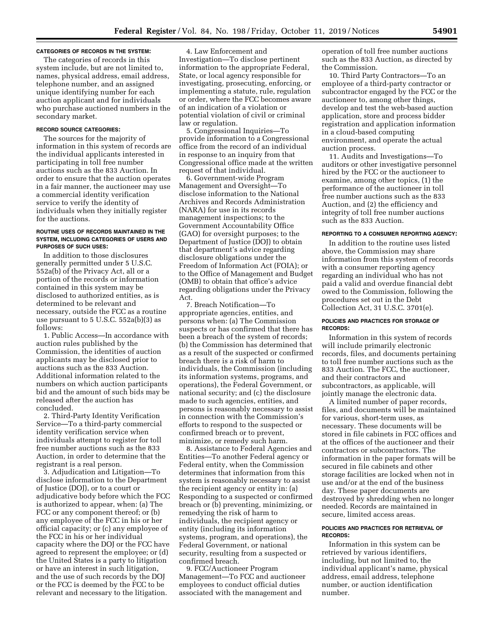### **CATEGORIES OF RECORDS IN THE SYSTEM:**

The categories of records in this system include, but are not limited to, names, physical address, email address, telephone number, and an assigned unique identifying number for each auction applicant and for individuals who purchase auctioned numbers in the secondary market.

# **RECORD SOURCE CATEGORIES:**

The sources for the majority of information in this system of records are the individual applicants interested in participating in toll free number auctions such as the 833 Auction. In order to ensure that the auction operates in a fair manner, the auctioneer may use a commercial identity verification service to verify the identity of individuals when they initially register for the auctions.

#### **ROUTINE USES OF RECORDS MAINTAINED IN THE SYSTEM, INCLUDING CATEGORIES OF USERS AND PURPOSES OF SUCH USES:**

In addition to those disclosures generally permitted under 5 U.S.C. 552a(b) of the Privacy Act, all or a portion of the records or information contained in this system may be disclosed to authorized entities, as is determined to be relevant and necessary, outside the FCC as a routine use pursuant to 5 U.S.C. 552a(b)(3) as follows:

1. Public Access—In accordance with auction rules published by the Commission, the identities of auction applicants may be disclosed prior to auctions such as the 833 Auction. Additional information related to the numbers on which auction participants bid and the amount of such bids may be released after the auction has concluded.

2. Third-Party Identity Verification Service—To a third-party commercial identity verification service when individuals attempt to register for toll free number auctions such as the 833 Auction, in order to determine that the registrant is a real person.

3. Adjudication and Litigation—To disclose information to the Department of Justice (DOJ), or to a court or adjudicative body before which the FCC is authorized to appear, when: (a) The FCC or any component thereof; or (b) any employee of the FCC in his or her official capacity; or (c) any employee of the FCC in his or her individual capacity where the DOJ or the FCC have agreed to represent the employee; or (d) the United States is a party to litigation or have an interest in such litigation, and the use of such records by the DOJ or the FCC is deemed by the FCC to be relevant and necessary to the litigation.

4. Law Enforcement and Investigation—To disclose pertinent information to the appropriate Federal, State, or local agency responsible for investigating, prosecuting, enforcing, or implementing a statute, rule, regulation or order, where the FCC becomes aware of an indication of a violation or potential violation of civil or criminal law or regulation.

5. Congressional Inquiries—To provide information to a Congressional office from the record of an individual in response to an inquiry from that Congressional office made at the written request of that individual.

6. Government-wide Program Management and Oversight—To disclose information to the National Archives and Records Administration (NARA) for use in its records management inspections; to the Government Accountability Office (GAO) for oversight purposes; to the Department of Justice (DOJ) to obtain that department's advice regarding disclosure obligations under the Freedom of Information Act (FOIA); or to the Office of Management and Budget (OMB) to obtain that office's advice regarding obligations under the Privacy Act.

7. Breach Notification—To appropriate agencies, entities, and persons when: (a) The Commission suspects or has confirmed that there has been a breach of the system of records; (b) the Commission has determined that as a result of the suspected or confirmed breach there is a risk of harm to individuals, the Commission (including its information systems, programs, and operations), the Federal Government, or national security; and (c) the disclosure made to such agencies, entities, and persons is reasonably necessary to assist in connection with the Commission's efforts to respond to the suspected or confirmed breach or to prevent, minimize, or remedy such harm.

8. Assistance to Federal Agencies and Entities—To another Federal agency or Federal entity, when the Commission determines that information from this system is reasonably necessary to assist the recipient agency or entity in: (a) Responding to a suspected or confirmed breach or (b) preventing, minimizing, or remedying the risk of harm to individuals, the recipient agency or entity (including its information systems, program, and operations), the Federal Government, or national security, resulting from a suspected or confirmed breach.

9. FCC/Auctioneer Program Management—To FCC and auctioneer employees to conduct official duties associated with the management and

operation of toll free number auctions such as the 833 Auction, as directed by the Commission.

10. Third Party Contractors—To an employee of a third-party contractor or subcontractor engaged by the FCC or the auctioneer to, among other things, develop and test the web-based auction application, store and process bidder registration and application information in a cloud-based computing environment, and operate the actual auction process.

11. Audits and Investigations—To auditors or other investigative personnel hired by the FCC or the auctioneer to examine, among other topics, (1) the performance of the auctioneer in toll free number auctions such as the 833 Auction, and (2) the efficiency and integrity of toll free number auctions such as the 833 Auction.

## **REPORTING TO A CONSUMER REPORTING AGENCY:**

In addition to the routine uses listed above, the Commission may share information from this system of records with a consumer reporting agency regarding an individual who has not paid a valid and overdue financial debt owed to the Commission, following the procedures set out in the Debt Collection Act, 31 U.S.C. 3701(e).

#### **POLICIES AND PRACTICES FOR STORAGE OF RECORDS:**

Information in this system of records will include primarily electronic records, files, and documents pertaining to toll free number auctions such as the 833 Auction. The FCC, the auctioneer, and their contractors and subcontractors, as applicable, will jointly manage the electronic data.

A limited number of paper records, files, and documents will be maintained for various, short-term uses, as necessary. These documents will be stored in file cabinets in FCC offices and at the offices of the auctioneer and their contractors or subcontractors. The information in the paper formats will be secured in file cabinets and other storage facilities are locked when not in use and/or at the end of the business day. These paper documents are destroyed by shredding when no longer needed. Records are maintained in secure, limited access areas.

#### **POLICIES AND PRACTICES FOR RETRIEVAL OF RECORDS:**

Information in this system can be retrieved by various identifiers, including, but not limited to, the individual applicant's name, physical address, email address, telephone number, or auction identification number.